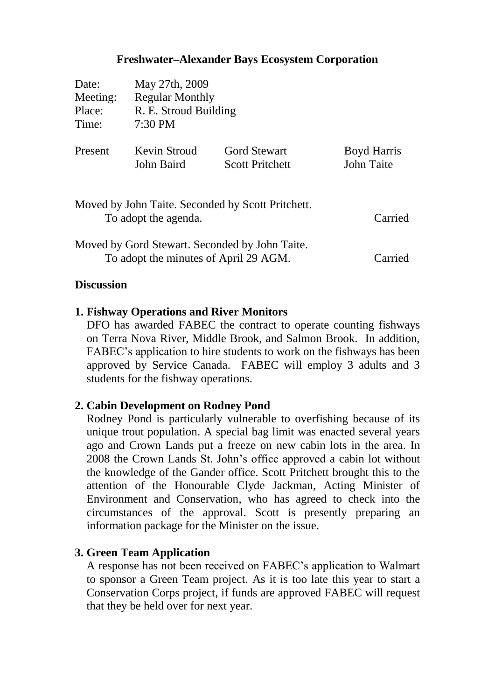## **Freshwater–Alexander Bays Ecosystem Corporation**

| Date:                                                                                   | May 27th, 2009         |                        |                    |
|-----------------------------------------------------------------------------------------|------------------------|------------------------|--------------------|
| Meeting:                                                                                | <b>Regular Monthly</b> |                        |                    |
| Place:                                                                                  | R. E. Stroud Building  |                        |                    |
| Time:                                                                                   | $7:30 \text{ PM}$      |                        |                    |
| Present                                                                                 | Kevin Stroud           | <b>Gord Stewart</b>    | <b>Boyd Harris</b> |
|                                                                                         | John Baird             | <b>Scott Pritchett</b> | John Taite         |
| Moved by John Taite. Seconded by Scott Pritchett.<br>To adopt the agenda.<br>Carried    |                        |                        |                    |
| Moved by Gord Stewart. Seconded by John Taite.<br>To adopt the minutes of April 29 AGM. |                        |                        |                    |

#### **Discussion**

#### **1. Fishway Operations and River Monitors**

DFO has awarded FABEC the contract to operate counting fishways on Terra Nova River, Middle Brook, and Salmon Brook. In addition, FABEC's application to hire students to work on the fishways has been approved by Service Canada. FABEC will employ 3 adults and 3 students for the fishway operations.

#### **2. Cabin Development on Rodney Pond**

Rodney Pond is particularly vulnerable to overfishing because of its unique trout population. A special bag limit was enacted several years ago and Crown Lands put a freeze on new cabin lots in the area. In 2008 the Crown Lands St. John's office approved a cabin lot without the knowledge of the Gander office. Scott Pritchett brought this to the attention of the Honourable Clyde Jackman, Acting Minister of Environment and Conservation, who has agreed to check into the circumstances of the approval. Scott is presently preparing an information package for the Minister on the issue.

#### **3. Green Team Application**

A response has not been received on FABEC's application to Walmart to sponsor a Green Team project. As it is too late this year to start a Conservation Corps project, if funds are approved FABEC will request that they be held over for next year.